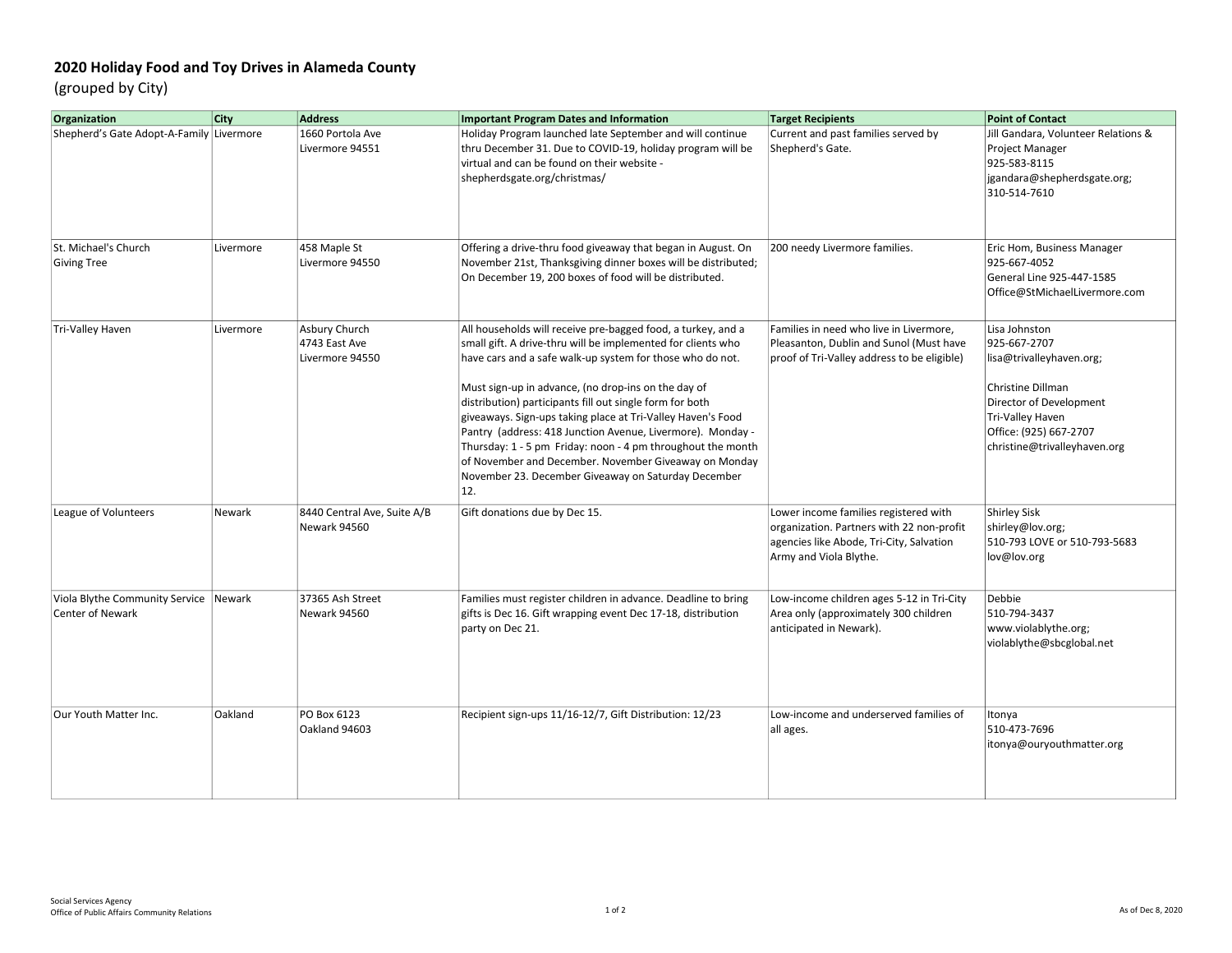## 2020 Holiday Food and Toy Drives in Alameda County

(grouped by City)

| Organization                                              | City      | <b>Address</b>                                    | <b>Important Program Dates and Information</b>                                                                                                                                                                                                                                                                                                                                                                                                                                                                                                                                                                                  | <b>Target Recipients</b>                                                                                                                                 | <b>Point of Contact</b>                                                                                                                                                                 |
|-----------------------------------------------------------|-----------|---------------------------------------------------|---------------------------------------------------------------------------------------------------------------------------------------------------------------------------------------------------------------------------------------------------------------------------------------------------------------------------------------------------------------------------------------------------------------------------------------------------------------------------------------------------------------------------------------------------------------------------------------------------------------------------------|----------------------------------------------------------------------------------------------------------------------------------------------------------|-----------------------------------------------------------------------------------------------------------------------------------------------------------------------------------------|
| Shepherd's Gate Adopt-A-Family Livermore                  |           | 1660 Portola Ave<br>Livermore 94551               | Holiday Program launched late September and will continue<br>thru December 31. Due to COVID-19, holiday program will be<br>virtual and can be found on their website -<br>shepherdsgate.org/christmas/                                                                                                                                                                                                                                                                                                                                                                                                                          | Current and past families served by<br>Shepherd's Gate.                                                                                                  | Jill Gandara, Volunteer Relations &<br>Project Manager<br>925-583-8115<br>jgandara@shepherdsgate.org;<br>310-514-7610                                                                   |
| St. Michael's Church<br><b>Giving Tree</b>                | Livermore | 458 Maple St<br>Livermore 94550                   | Offering a drive-thru food giveaway that began in August. On<br>November 21st, Thanksgiving dinner boxes will be distributed;<br>On December 19, 200 boxes of food will be distributed.                                                                                                                                                                                                                                                                                                                                                                                                                                         | 200 needy Livermore families.                                                                                                                            | Eric Hom, Business Manager<br>925-667-4052<br>General Line 925-447-1585<br>Office@StMichaelLivermore.com                                                                                |
| Tri-Valley Haven                                          | Livermore | Asbury Church<br>4743 East Ave<br>Livermore 94550 | All households will receive pre-bagged food, a turkey, and a<br>small gift. A drive-thru will be implemented for clients who<br>have cars and a safe walk-up system for those who do not.<br>Must sign-up in advance, (no drop-ins on the day of<br>distribution) participants fill out single form for both<br>giveaways. Sign-ups taking place at Tri-Valley Haven's Food<br>Pantry (address: 418 Junction Avenue, Livermore). Monday -<br>Thursday: 1 - 5 pm Friday: noon - 4 pm throughout the month<br>of November and December. November Giveaway on Monday<br>November 23. December Giveaway on Saturday December<br>12. | Families in need who live in Livermore,<br>Pleasanton, Dublin and Sunol (Must have<br>proof of Tri-Valley address to be eligible)                        | Lisa Johnston<br>925-667-2707<br>lisa@trivalleyhaven.org;<br>Christine Dillman<br>Director of Development<br>Tri-Valley Haven<br>Office: (925) 667-2707<br>christine@trivalleyhaven.org |
| League of Volunteers                                      | Newark    | 8440 Central Ave, Suite A/B<br>Newark 94560       | Gift donations due by Dec 15.                                                                                                                                                                                                                                                                                                                                                                                                                                                                                                                                                                                                   | Lower income families registered with<br>organization. Partners with 22 non-profit<br>agencies like Abode, Tri-City, Salvation<br>Army and Viola Blythe. | <b>Shirley Sisk</b><br>shirley@lov.org;<br>510-793 LOVE or 510-793-5683<br>lov@lov.org                                                                                                  |
| Viola Blythe Community Service<br><b>Center of Newark</b> | Newark    | 37365 Ash Street<br>Newark 94560                  | Families must register children in advance. Deadline to bring<br>gifts is Dec 16. Gift wrapping event Dec 17-18, distribution<br>party on Dec 21.                                                                                                                                                                                                                                                                                                                                                                                                                                                                               | Low-income children ages 5-12 in Tri-City<br>Area only (approximately 300 children<br>anticipated in Newark).                                            | <b>Debbie</b><br>510-794-3437<br>www.violablythe.org;<br>violablythe@sbcglobal.net                                                                                                      |
| Our Youth Matter Inc.                                     | Oakland   | PO Box 6123<br>Oakland 94603                      | Recipient sign-ups 11/16-12/7, Gift Distribution: 12/23                                                                                                                                                                                                                                                                                                                                                                                                                                                                                                                                                                         | Low-income and underserved families of<br>all ages.                                                                                                      | Itonya<br>510-473-7696<br>itonya@ouryouthmatter.org                                                                                                                                     |